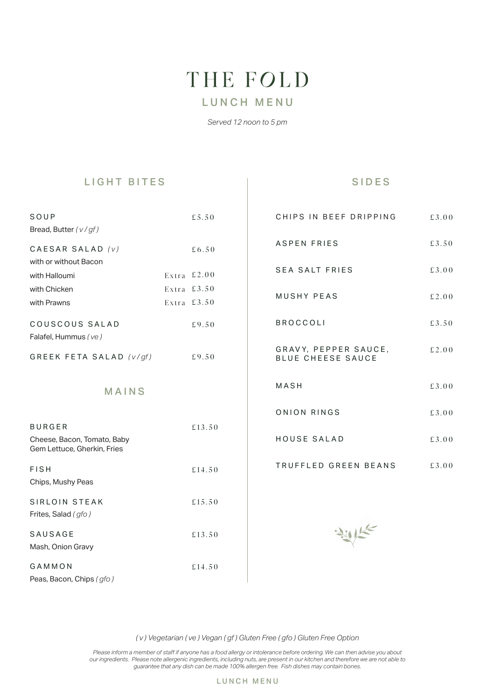# THE FOLD

# LUNCH MENU

*Served 12 noon to 5 pm*

### LIGHT BITES

#### SIDES

| SOUP                                                       | £5.50         | CHIPS IN BEEF DRIPPING                           | £3.00 |
|------------------------------------------------------------|---------------|--------------------------------------------------|-------|
| Bread, Butter (v/gf)                                       |               |                                                  |       |
| CAESAR SALAD (v)                                           | £6.50         | <b>ASPEN FRIES</b>                               | £3.50 |
| with or without Bacon                                      |               |                                                  |       |
| with Halloumi                                              | Extra $£2.00$ | <b>SEA SALT FRIES</b>                            | £3.00 |
| with Chicken                                               | Extra $£3.50$ | MUSHY PEAS                                       |       |
| with Prawns                                                | Extra $£3.50$ |                                                  | £2.00 |
| COUSCOUS SALAD<br>Falafel, Hummus (ve)                     | £9.50         | <b>BROCCOLI</b>                                  | £3.50 |
| GREEK FETA SALAD (v/gf)                                    | £9.50         | GRAVY, PEPPER SAUCE,<br><b>BLUE CHEESE SAUCE</b> | £2.00 |
| <b>MAINS</b>                                               |               | MASH                                             | £3.00 |
|                                                            |               | ONION RINGS                                      | £3.00 |
| <b>BURGER</b>                                              | £13.50        |                                                  |       |
| Cheese, Bacon, Tomato, Baby<br>Gem Lettuce, Gherkin, Fries |               | HOUSE SALAD                                      | £3.00 |
| <b>FISH</b>                                                | £14.50        | TRUFFLED GREEN BEANS                             | £3.00 |
| Chips, Mushy Peas                                          |               |                                                  |       |
| <b>SIRLOIN STEAK</b>                                       | £15.50        |                                                  |       |
| Frites, Salad (gfo)                                        |               |                                                  |       |
| SAUSAGE                                                    | £13.50        |                                                  |       |
| Mash, Onion Gravy                                          |               |                                                  |       |
| GAMMON                                                     | £14.50        |                                                  |       |
| Peas, Bacon, Chips (gfo)                                   |               |                                                  |       |

*( v ) Vegetarian ( ve ) Vegan ( gf ) Gluten Free ( gfo ) Gluten Free Option*

*Please inform a member of staff if anyone has a food allergy or intolerance before ordering. We can then advise you about our ingredients. Please note allergenic ingredients, including nuts, are present in our kitchen and therefore we are not able to guarantee that any dish can be made 100% allergen free. Fish dishes may contain bones.*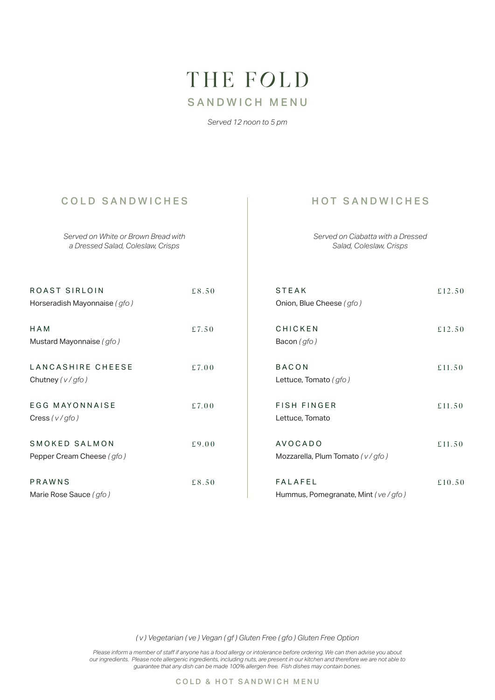# THE FOLD SANDWICH MENU

*Served 12 noon to 5 pm*

## COLD SANDWICHES | HOT SANDWICHES

*Served on White or Brown Bread with a Dressed Salad, Coleslaw, Crisps*

*Served on Ciabatta with a Dressed Salad, Coleslaw, Crisps*

| ROAST SIRLOIN<br>Horseradish Mayonnaise (gfo) | £8.50 | <b>STEAK</b><br>Onion, Blue Cheese (gfo)             | £12.50 |
|-----------------------------------------------|-------|------------------------------------------------------|--------|
| HAM<br>Mustard Mayonnaise (gfo)               | £7.50 | CHICKEN<br>Bacon (gfo)                               | £12.50 |
| LANCASHIRE CHEESE<br>Chutney $(v/gfo)$        | £7.00 | <b>BACON</b><br>Lettuce, Tomato (gfo)                | £11.50 |
| <b>EGG MAYONNAISE</b><br>Cress $(v/gfo)$      | £7.00 | <b>FISH FINGER</b><br>Lettuce, Tomato                | £11.50 |
| SMOKED SALMON<br>Pepper Cream Cheese (gfo)    | £9.00 | <b>AVOCADO</b><br>Mozzarella, Plum Tomato (v/gfo)    | £11.50 |
| PRAWNS<br>Marie Rose Sauce (gfo)              | £8.50 | <b>FALAFEL</b><br>Hummus, Pomegranate, Mint (ve/gfo) | £10.50 |

*( v ) Vegetarian ( ve ) Vegan ( gf ) Gluten Free ( gfo ) Gluten Free Option*

*Please inform a member of staff if anyone has a food allergy or intolerance before ordering. We can then advise you about our ingredients. Please note allergenic ingredients, including nuts, are present in our kitchen and therefore we are not able to guarantee that any dish can be made 100% allergen free. Fish dishes may contain bones.*

COLD & HOT SANDWICH MENU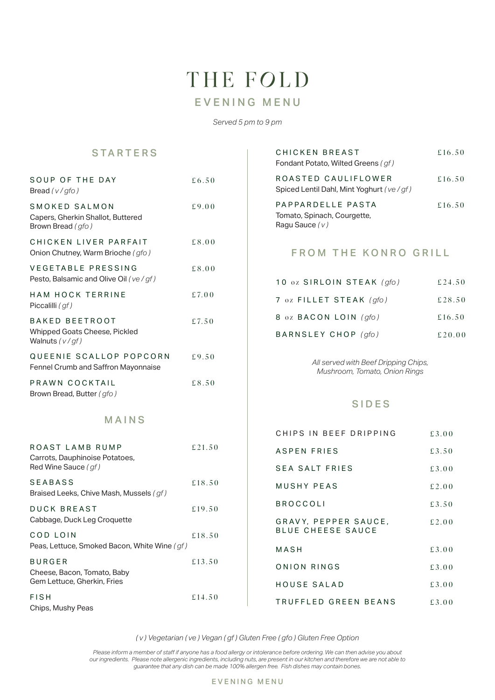# THE FOLD EVENING MENU

*Served 5 pm to 9 pm*

### STARTERS

| SOUP OF THE DAY<br>Bread $(v/gfo)$                                          | £6.50  |
|-----------------------------------------------------------------------------|--------|
| SMOKED SALMON<br>Capers, Gherkin Shallot, Buttered<br>Brown Bread (gfo)     | £9.00  |
| CHICKEN LIVER PARFAIT<br>Onion Chutney, Warm Brioche (gfo)                  | £8.00  |
| VEGETABLE PRESSING<br>Pesto, Balsamic and Olive Oil (ve/gf)                 | £8.00  |
| <b>HAM HOCK TERRINE</b><br>Piccalilli (gf)                                  | £7.00  |
| <b>BAKED BEETROOT</b><br>Whipped Goats Cheese, Pickled<br>Walnuts $(v/gf)$  | £7.50  |
| QUEENIE SCALLOP POPCORN<br>Fennel Crumb and Saffron Mayonnaise              | £9.50  |
| PRAWN COCKTAIL<br>Brown Bread, Butter (gfo)                                 | £8.50  |
| MAINS                                                                       |        |
| ROAST LAMB RUMP<br>Carrots, Dauphinoise Potatoes,<br>Red Wine Sauce (gf)    | £21.50 |
| SEABASS<br>Braised Leeks, Chive Mash, Mussels (gf)                          | £18.50 |
| DUCK BREAST<br>Cabbage, Duck Leg Croquette                                  | £19.50 |
| COD LOIN<br>Peas, Lettuce, Smoked Bacon, White Wine (gf)                    | £18.50 |
| <b>BURGER</b><br>Cheese, Bacon, Tomato, Baby<br>Gem Lettuce, Gherkin, Fries | £13.50 |
| <b>FISH</b><br>Chips, Mushy Peas                                            | £14.50 |

| CHICKEN BREAST<br>Fondant Potato, Wilted Greens (gf)                 | £16.50 |
|----------------------------------------------------------------------|--------|
| ROASTED CAULIFLOWER<br>Spiced Lentil Dahl, Mint Yoghurt (ve/gf)      | £16.50 |
| PAPPARDELLE PASTA<br>Tomato, Spinach, Courgette,<br>Ragu Sauce $(v)$ | £16.50 |

### FROM THE KONRO GRILL

| 10 oz SIRLOIN STEAK (gfo) | £24.50 |
|---------------------------|--------|
| 7 oz FILLET STEAK (gfo)   | £28.50 |
| 8 oz BACON LOIN (qfo)     | £16.50 |
| BARNSLEY CHOP (qfo)       | £20.00 |

*All served with Beef Dripping Chips, Mushroom, Tomato, Onion Rings*

#### SIDES

| CHIPS IN BEEF DRIPPING                    | £3.00  |
|-------------------------------------------|--------|
| ASPEN FRIES                               | £3.50  |
| SFA SAIT FRIFS                            | £3.00  |
| MUSHY PFAS                                | £ 2.00 |
| <b>BROCCOLI</b>                           | £3.50  |
| GRAVY, PEPPER SAUCE,<br>BLUE CHEESE SAUCE | £ 2.00 |
| MASH                                      | £3.00  |
| ONION RINGS                               | £3.00  |
| HOUSE SAIAD                               | £3.00  |
| TRUFFLED GREEN BEANS                      | £3.00  |

*( v ) Vegetarian ( ve ) Vegan ( gf ) Gluten Free ( gfo ) Gluten Free Option*

*Please inform a member of staff if anyone has a food allergy or intolerance before ordering. We can then advise you about our ingredients. Please note allergenic ingredients, including nuts, are present in our kitchen and therefore we are not able to guarantee that any dish can be made 100% allergen free. Fish dishes may contain bones.*